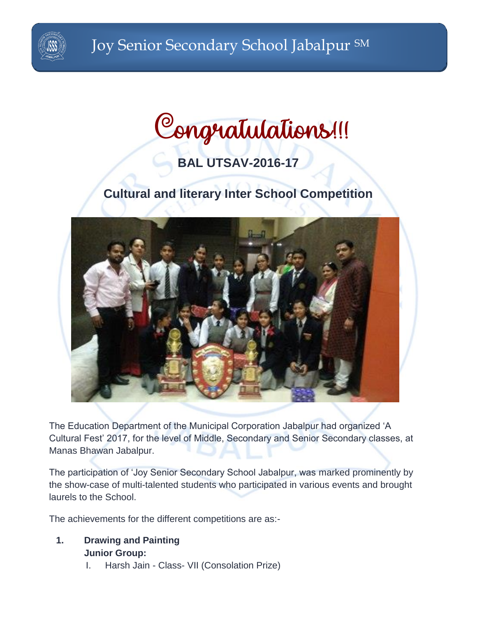

# **BAL UTSAV-2016-17**

# **Cultural and literary Inter School Competition**



The Education Department of the Municipal Corporation Jabalpur had organized 'A Cultural Fest' 2017, for the level of Middle, Secondary and Senior Secondary classes, at Manas Bhawan Jabalpur.

The participation of 'Joy Senior Secondary School Jabalpur, was marked prominently by the show-case of multi-talented students who participated in various events and brought laurels to the School.

The achievements for the different competitions are as:-

- **1. Drawing and Painting Junior Group:**
	- I. Harsh Jain Class- VII (Consolation Prize)